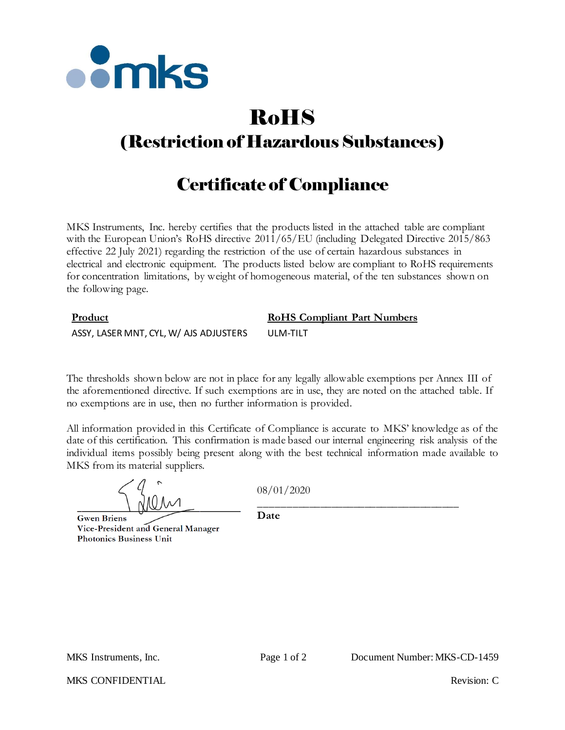

# RoHS

# (Restriction of Hazardous Substances)

## Certificate of Compliance

MKS Instruments, Inc. hereby certifies that the products listed in the attached table are compliant with the European Union's RoHS directive  $2011/65/EU$  (including Delegated Directive 2015/863 effective 22 July 2021) regarding the restriction of the use of certain hazardous substances in electrical and electronic equipment. The products listed below are compliant to RoHS requirements for concentration limitations, by weight of homogeneous material, of the ten substances shown on the following page.

## **Product RoHS Compliant Part Numbers** ASSY, LASER MNT, CYL, W/ AJS ADJUSTERS ULM-TILT

The thresholds shown below are not in place for any legally allowable exemptions per Annex III of the aforementioned directive. If such exemptions are in use, they are noted on the attached table. If no exemptions are in use, then no further information is provided.

All information provided in this Certificate of Compliance is accurate to MKS' knowledge as of the date of this certification. This confirmation is made based our internal engineering risk analysis of the individual items possibly being present along with the best technical information made available to MKS from its material suppliers.

08/01/2020

**Gwen Briens** Vice-President and General Manager **Photonics Business Unit** 

\_\_\_\_\_\_\_\_\_\_\_\_\_\_\_\_\_\_\_\_\_\_\_\_\_\_\_\_\_\_\_\_\_\_\_\_ **Date**

MKS CONFIDENTIAL THE CONFIDENTIAL Revision: C